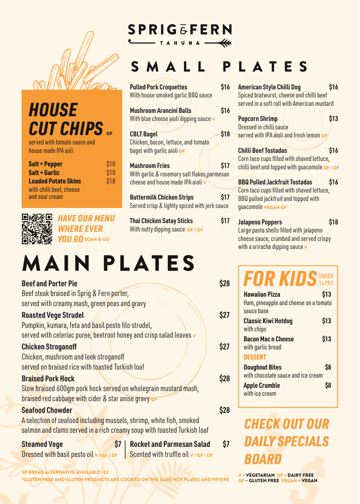

### *HOUSE* **CUT CHIPS**

served with tomato sauce and house made IPA aoli

| <b>Salt + Pepper</b>       | \$10 |
|----------------------------|------|
| <b>Salt + Garlic</b>       | \$10 |
| <b>Loaded Potato Skins</b> | \$18 |
| with chilli beef, cheese   |      |
| and sour cream             |      |

| п |   | г |
|---|---|---|
|   |   | Ñ |
|   |   |   |
|   | ٠ | r |

*HAVE OUR MENU WHERE EVER YOU GO* SCAN & GO

# **MAIN PLATES**

| <b>Beef and Porter Pie</b>                                                               | \$28 |
|------------------------------------------------------------------------------------------|------|
| Beef steak braised in Sprig & Fern porter,                                               |      |
| served with creamy mash, green peas and gravy                                            |      |
| <b>Roasted Vege Strudel</b>                                                              | \$27 |
| Pumpkin, kumara, feta and basil pesto filo strudel,                                      |      |
| served with celeriac puree, beetroot honey and crisp salad leaves v                      |      |
| <b>Chicken Stroganoff</b>                                                                | \$27 |
| Chicken, mushroom and leek stroganoff                                                    |      |
| served on braised rice with toasted Turkish loaf                                         |      |
| <b>Braised Pork Hock</b>                                                                 | \$28 |
| Slow braised 600gm pork hock served on wholegrain mustard mash,                          |      |
| braised red cabbage with cider & star anise gravy GF                                     |      |
| <b>Seafood Chowder</b>                                                                   | \$28 |
| A selection of seafood including mussels, shrimp, white fish, smoked                     |      |
| salmon and clams served in a rich creamy soup with toasted Turkish loaf                  |      |
| \$7<br><b>Rocket and Parmesan Salad</b><br><b>Steamed Vege</b>                           | \$7  |
| <b>Dressed with basil pesto oil v/GF/DF</b><br>Scented with truffle oil $\vee$ / GF / DF |      |

GF BREAD ALTERNATIVE AVAILABLE +\$2

\*GLUTEN FREE AND GLUTEN PRODUCTS ARE COOKED ON THE SAME HOT PLATES AND FRYERS

### **SPRIG &FERN** TAHUNA-

### SMALL PLATES

| <b>Pulled Pork Croquettes</b><br>With house smoked garlic BBQ sauce                                        | \$16        |
|------------------------------------------------------------------------------------------------------------|-------------|
| <b>Mushroom Arancini Balls</b><br>With blue cheese aioli dipping sauce v                                   | \$16        |
| <b>CBLT Bagel</b><br>Chicken, bacon, lettuce, and tomato<br>bagel with garlic aioli DF                     | <b>\$18</b> |
| <b>Mushroom Fries</b><br>With garlic & rosemary salt flakes, parmesan<br>cheese and house made IPA aioli v | \$17        |
| <b>Buttermilk Chicken Strips</b>                                                                           |             |

**Buttermilk Chicken Strips \$17** Served crisp & lightly spiced with jerk sauce

**Thai Chicken Satay Sticks \$17** With nutty dipping sauce GF / DF

#### **BBQ Pulled Jackfruit Tostadas \$16** Corn taco cups filled with shaved lettuce, BBQ pulled jackfruit and topped with guacomole VEGAN GF

**American Style Chilli Dog \$16** Spiced bratwurst, cheese and chilli beef served in a soft roll with American mustard

**Popcorn Shrimp \$13** 

**Chilli Beef Tostadas** \$16 Corn taco cups filled with shaved lettuce, chilli beef and topped with guacomole GF / DF

served with IPA aioli and fresh lemon DF

Dressed in chilli sauce

### **Jalapeno Poppers \$18**

Large pasta shells filled with jalapeno cheese sauce, crumbed and served crispy with a sriracha dipping sauce  $\mathbf v$ 

| <b>FOR KIDS UNDER</b>                                                        |      |
|------------------------------------------------------------------------------|------|
| <b>Hawaiian Pizza</b><br>Ham, pineapple and cheese on a tomato<br>sauce base | \$13 |
| <b>Classic Kiwi Hotdog</b><br>with chips                                     | \$13 |
| <b>Bacon Mac n Cheese</b><br>with garlic bread                               | \$13 |
| <b>DESSERT</b>                                                               |      |
| <b>Doughnut Bites</b><br>with chocolate sauce and ice cream                  | \$8  |
| <b>Apple Crumble</b><br>with ice cream                                       |      |

## **ECK O**<br>ILY SP<br>ARD **BRY FREE**<br> **EGAN - VEGAN** *CHECK OUT OUR DAILY SPECIALS BOARD*

V – VEGETARIAN DF – DAIRY FREE GF – GLUTEN FREE VEGAN – VEGAN